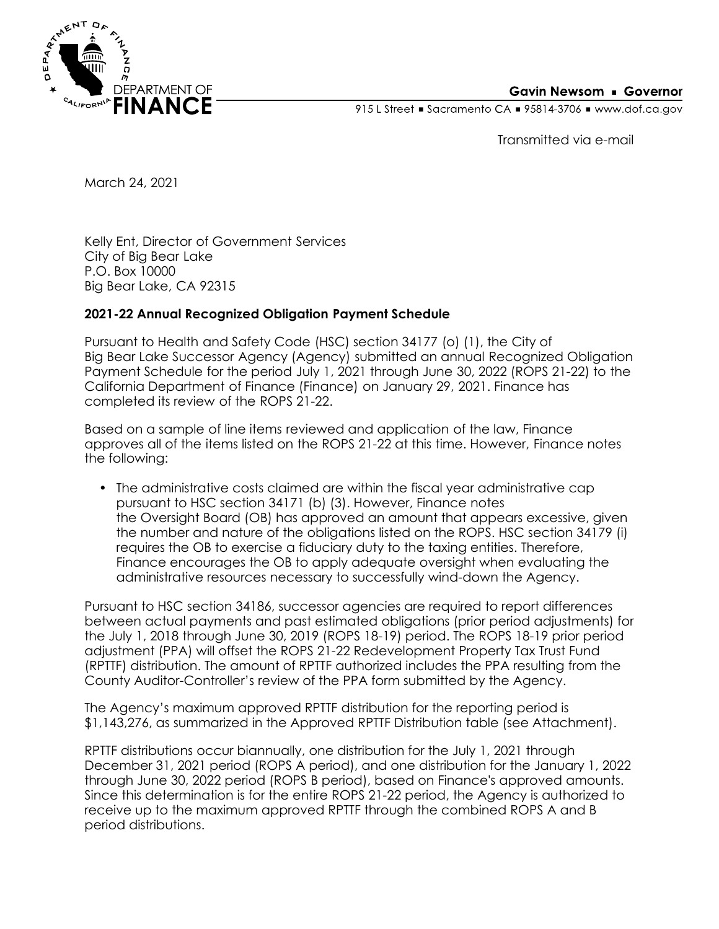

## **Gavin Newsom • Governor**

915 L Street Gacramento CA = 95814-3706 Www.dof.ca.gov

Transmitted via e-mail

March 24, 2021

Kelly Ent, Director of Government Services City of Big Bear Lake P.O. Box 10000 Big Bear Lake, CA 92315

## **2021-22 Annual Recognized Obligation Payment Schedule**

Pursuant to Health and Safety Code (HSC) section 34177 (o) (1), the City of Big Bear Lake Successor Agency (Agency) submitted an annual Recognized Obligation Payment Schedule for the period July 1, 2021 through June 30, 2022 (ROPS 21-22) to the California Department of Finance (Finance) on January 29, 2021. Finance has completed its review of the ROPS 21-22.

Based on a sample of line items reviewed and application of the law, Finance approves all of the items listed on the ROPS 21-22 at this time. However, Finance notes the following:

• The administrative costs claimed are within the fiscal year administrative cap pursuant to HSC section 34171 (b) (3). However, Finance notes the Oversight Board (OB) has approved an amount that appears excessive, given the number and nature of the obligations listed on the ROPS. HSC section 34179 (i) requires the OB to exercise a fiduciary duty to the taxing entities. Therefore, Finance encourages the OB to apply adequate oversight when evaluating the administrative resources necessary to successfully wind-down the Agency.

Pursuant to HSC section 34186, successor agencies are required to report differences between actual payments and past estimated obligations (prior period adjustments) for the July 1, 2018 through June 30, 2019 (ROPS 18-19) period. The ROPS 18-19 prior period adjustment (PPA) will offset the ROPS 21-22 Redevelopment Property Tax Trust Fund (RPTTF) distribution. The amount of RPTTF authorized includes the PPA resulting from the County Auditor-Controller's review of the PPA form submitted by the Agency.

The Agency's maximum approved RPTTF distribution for the reporting period is \$1,143,276, as summarized in the Approved RPTTF Distribution table (see Attachment).

RPTTF distributions occur biannually, one distribution for the July 1, 2021 through December 31, 2021 period (ROPS A period), and one distribution for the January 1, 2022 through June 30, 2022 period (ROPS B period), based on Finance's approved amounts. Since this determination is for the entire ROPS 21-22 period, the Agency is authorized to receive up to the maximum approved RPTTF through the combined ROPS A and B period distributions.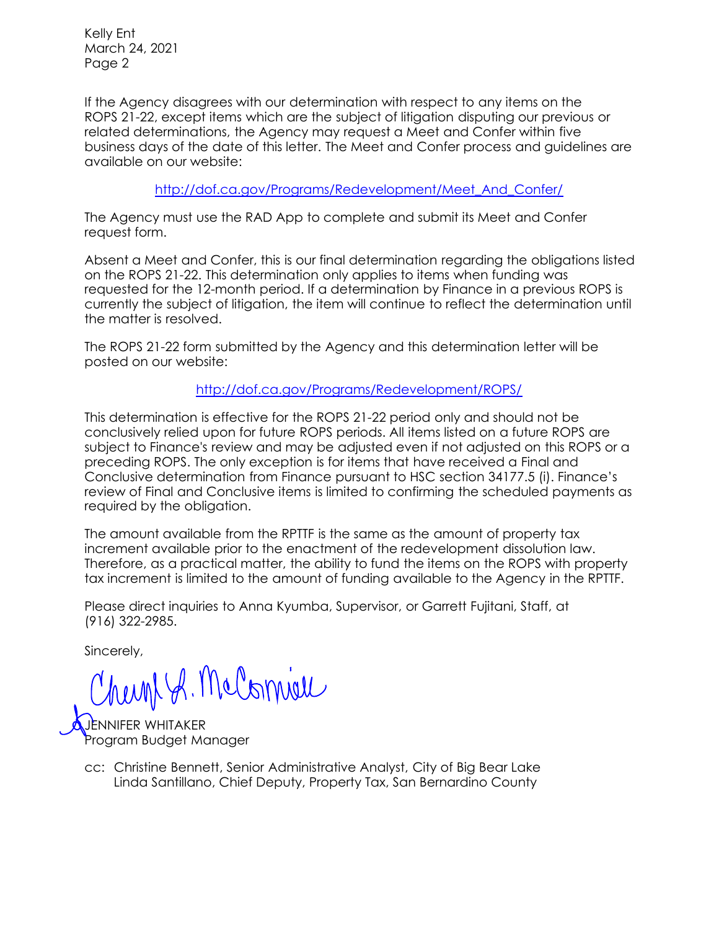Kelly Ent March 24, 2021 Page 2

If the Agency disagrees with our determination with respect to any items on the ROPS 21-22, except items which are the subject of litigation disputing our previous or related determinations, the Agency may request a Meet and Confer within five business days of the date of this letter. The Meet and Confer process and guidelines are available on our website:

[http://dof.ca.gov/Programs/Redevelopment/Meet\\_And\\_Confer/](http://dof.ca.gov/Programs/Redevelopment/Meet_And_Confer/) 

The Agency must use the RAD App to complete and submit its Meet and Confer request form.

Absent a Meet and Confer, this is our final determination regarding the obligations listed on the ROPS 21-22. This determination only applies to items when funding was requested for the 12-month period. If a determination by Finance in a previous ROPS is currently the subject of litigation, the item will continue to reflect the determination until the matter is resolved.

The ROPS 21-22 form submitted by the Agency and this determination letter will be posted on our website:

<http://dof.ca.gov/Programs/Redevelopment/ROPS/>

This determination is effective for the ROPS 21-22 period only and should not be conclusively relied upon for future ROPS periods. All items listed on a future ROPS are subject to Finance's review and may be adjusted even if not adjusted on this ROPS or a preceding ROPS. The only exception is for items that have received a Final and Conclusive determination from Finance pursuant to HSC section 34177.5 (i). Finance's review of Final and Conclusive items is limited to confirming the scheduled payments as required by the obligation.

The amount available from the RPTTF is the same as the amount of property tax increment available prior to the enactment of the redevelopment dissolution law. Therefore, as a practical matter, the ability to fund the items on the ROPS with property tax increment is limited to the amount of funding available to the Agency in the RPTTF.

Please direct inquiries to Anna Kyumba, Supervisor, or Garrett Fujitani, Staff, at (916) 322-2985.

Sincerely,

newnt A. McComieu

INIFFR WHITAKFR Program Budget Manager

Linda Santillano, Chief Deputy, Property Tax, San Bernardino County cc: Christine Bennett, Senior Administrative Analyst, City of Big Bear Lake